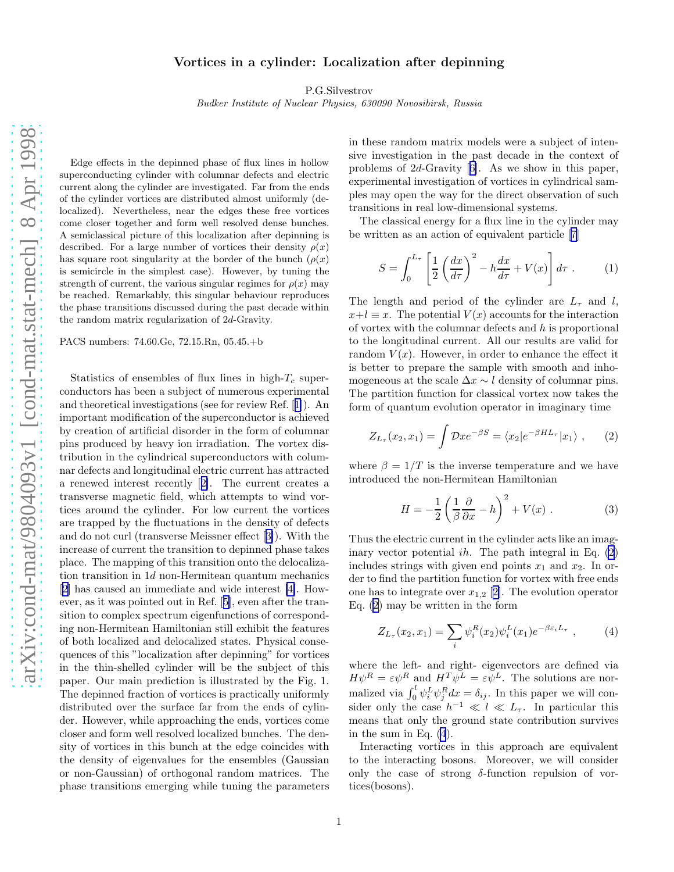## Vortices in a cylinder: Localization after depinning

P.G.Silvestrov

Budker Institute of Nuclear Physics, 630090 Novosibirsk, Russia

<span id="page-0-0"></span>Edge effects in the depinned phase of flux lines in hollow superconducting cylinder with columnar defects and electric current along the cylinder are investigated. Far from the ends of the cylinder vortices are distributed almost uniformly (delocalized). Nevertheless, near the edges these free vortices come closer together and form well resolved dense bunches. A semiclassical picture of this localization after depinning is described. For a large number of vortices their density  $\rho(x)$ has square root singularity at the border of the bunch  $(\rho(x))$ is semicircle in the simplest case). However, by tuning the strength of current, the various singular regimes for  $\rho(x)$  may be reached. Remarkably, this singular behaviour reproduces the phase transitions discussed during the past decade within the random matrix regularization of 2d-Gravity.

PACS numbers: 74.60.Ge, 72.15.Rn, 05.45.+b

Statistics of ensembles of flux lines in high- $T_c$  superconductors has been a subject of numerous experimental and theoretical investigations (see for review Ref.[[1\]](#page-3-0)). An important modification of the superconductor is achieved by creation of artificial disorder in the form of columnar pins produced by heavy ion irradiation. The vortex distribution in the cylindrical superconductors with columnar defects and longitudinal electric current has attracted a renewed interest recently[[2\]](#page-3-0). The current creates a transverse magnetic field, which attempts to wind vortices around the cylinder. For low current the vortices are trapped by the fluctuations in the density of defects and do not curl (transverse Meissner effect[[3\]](#page-3-0)). With the increase of current the transition to depinned phase takes place. The mapping of this transition onto the delocalization transition in 1d non-Hermitean quantum mechanics [[2\]](#page-3-0) has caused an immediate and wide interest [\[4\]](#page-3-0). However, as it was pointed out in Ref.[[5\]](#page-3-0), even after the transition to complex spectrum eigenfunctions of corresponding non-Hermitean Hamiltonian still exhibit the features of both localized and delocalized states. Physical consequences of this "localization after depinning" for vortices in the thin-shelled cylinder will be the subject of this paper. Our main prediction is illustrated by the Fig. 1. The depinned fraction of vortices is practically uniformly distributed over the surface far from the ends of cylinder. However, while approaching the ends, vortices come closer and form well resolved localized bunches. The density of vortices in this bunch at the edge coincides with the density of eigenvalues for the ensembles (Gaussian or non-Gaussian) of orthogonal random matrices. The phase transitions emerging while tuning the parameters in these random matrix models were a subject of intensive investigation in the past decade in the context of problems of 2d-Gravity[[6\]](#page-3-0). As we show in this paper, experimental investigation of vortices in cylindrical samples may open the way for the direct observation of such transitions in real low-dimensional systems.

The classical energy for a flux line in the cylinder may be written as an action of equivalent particle[[7\]](#page-3-0)

$$
S = \int_0^{L_\tau} \left[ \frac{1}{2} \left( \frac{dx}{d\tau} \right)^2 - h \frac{dx}{d\tau} + V(x) \right] d\tau . \tag{1}
$$

The length and period of the cylinder are  $L_{\tau}$  and l,  $x+l \equiv x$ . The potential  $V(x)$  accounts for the interaction of vortex with the columnar defects and  $h$  is proportional to the longitudinal current. All our results are valid for random  $V(x)$ . However, in order to enhance the effect it is better to prepare the sample with smooth and inhomogeneous at the scale  $\Delta x \sim l$  density of columnar pins. The partition function for classical vortex now takes the form of quantum evolution operator in imaginary time

$$
Z_{L_{\tau}}(x_2, x_1) = \int \mathcal{D}x e^{-\beta S} = \langle x_2 | e^{-\beta H L_{\tau}} | x_1 \rangle , \qquad (2)
$$

where  $\beta = 1/T$  is the inverse temperature and we have introduced the non-Hermitean Hamiltonian

$$
H = -\frac{1}{2} \left( \frac{1}{\beta} \frac{\partial}{\partial x} - h \right)^2 + V(x) . \tag{3}
$$

Thus the electric current in the cylinder acts like an imaginary vector potential  $ih$ . The path integral in Eq.  $(2)$ includes strings with given end points  $x_1$  and  $x_2$ . In order to find the partition function for vortex with free ends one has to integrate over  $x_{1,2}$  [[2\]](#page-3-0). The evolution operator Eq. (2) may be written in the form

$$
Z_{L_{\tau}}(x_2, x_1) = \sum_{i} \psi_i^R(x_2) \psi_i^L(x_1) e^{-\beta \varepsilon_i L_{\tau}}, \qquad (4)
$$

where the left- and right- eigenvectors are defined via  $H\psi^R = \varepsilon \psi^R$  and  $H^T \psi^L = \varepsilon \psi^L$ . The solutions are normalized via  $\int_0^l \psi_i^L \psi_j^R dx = \delta_{ij}$ . In this paper we will consider only the case  $h^{-1} \ll l \ll L_{\tau}$ . In particular this means that only the ground state contribution survives in the sum in Eq. (4).

Interacting vortices in this approach are equivalent to the interacting bosons. Moreover, we will consider only the case of strong  $\delta$ -function repulsion of vortices(bosons).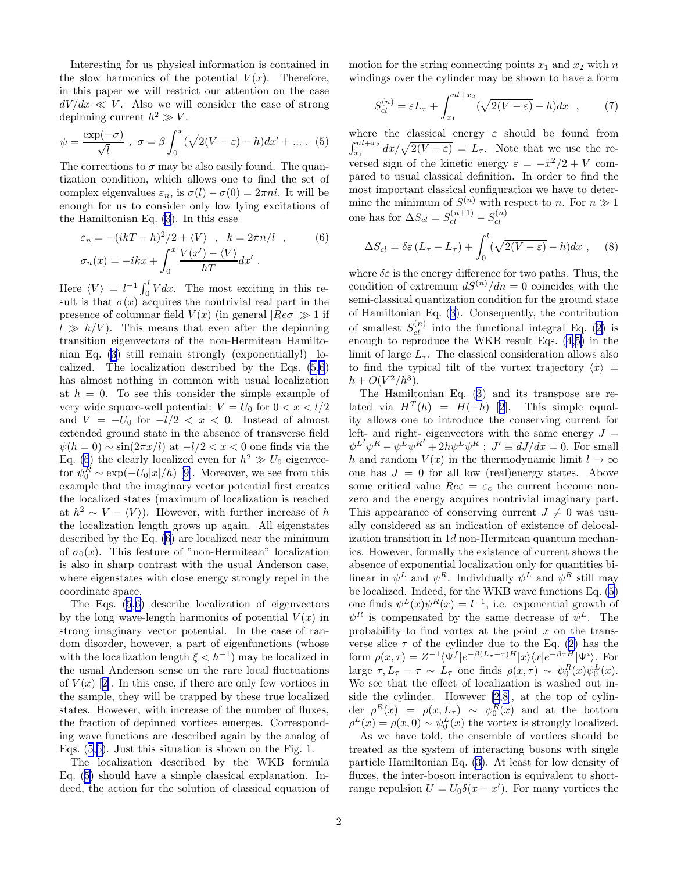<span id="page-1-0"></span>Interesting for us physical information is contained in the slow harmonics of the potential  $V(x)$ . Therefore, in this paper we will restrict our attention on the case  $dV/dx \ll V$ . Also we will consider the case of strong depinning current  $h^2 \gg V$ .

$$
\psi = \frac{\exp(-\sigma)}{\sqrt{l}}, \ \sigma = \beta \int_0^x (\sqrt{2(V-\varepsilon)} - h) dx' + \dots \quad (5)
$$

The corrections to  $\sigma$  may be also easily found. The quantization condition, which allows one to find the set of complex eigenvalues  $\varepsilon_n$ , is  $\sigma(l) - \sigma(0) = 2\pi ni$ . It will be enough for us to consider only low lying excitations of the Hamiltonian Eq. [\(3](#page-0-0)). In this case

$$
\varepsilon_n = -(ikT - h)^2/2 + \langle V \rangle \quad , \quad k = 2\pi n/l \quad , \quad (6)
$$
  

$$
\sigma_n(x) = -ikx + \int_0^x \frac{V(x') - \langle V \rangle}{hT} dx' \ .
$$

Here  $\langle V \rangle = l^{-1} \int_0^l V dx$ . The most exciting in this result is that  $\sigma(x)$  acquires the nontrivial real part in the presence of columnar field  $V(x)$  (in general  $|Re \sigma| \gg 1$  if  $l \gg h/V$ ). This means that even after the depinning transition eigenvectors of the non-Hermitean Hamiltonian Eq. [\(3](#page-0-0)) still remain strongly (exponentially!) localized. The localization described by the Eqs. (5,6) has almost nothing in common with usual localization at  $h = 0$ . To see this consider the simple example of very wide square-well potential:  $V = U_0$  for  $0 < x < l/2$ and  $V = -U_0$  for  $-l/2 < x < 0$ . Instead of almost extended ground state in the absence of transverse field  $\psi(h=0) \sim \sin(2\pi x/l)$  at  $-l/2 < x < 0$  one finds via the Eq. (6) the clearly localized even for  $h^2 \gg U_0$  eigenvec-tor $\psi_0^R \sim \exp(-U_0|x|/h)$  [[9\]](#page-3-0). Moreover, we see from this example that the imaginary vector potential first creates the localized states (maximum of localization is reached at  $h^2 \sim V - \langle V \rangle$ . However, with further increase of h the localization length grows up again. All eigenstates described by the Eq. (6) are localized near the minimum of  $\sigma_0(x)$ . This feature of "non-Hermitean" localization is also in sharp contrast with the usual Anderson case, where eigenstates with close energy strongly repel in the coordinate space.

The Eqs. (5,6) describe localization of eigenvectors by the long wave-length harmonics of potential  $V(x)$  in strong imaginary vector potential. In the case of random disorder, however, a part of eigenfunctions (whose with the localization length  $\xi < h^{-1}$  may be localized in the usual Anderson sense on the rare local fluctuations of $V(x)$  [[2\]](#page-3-0). In this case, if there are only few vortices in the sample, they will be trapped by these true localized states. However, with increase of the number of fluxes, the fraction of depinned vortices emerges. Corresponding wave functions are described again by the analog of Eqs. (5,6). Just this situation is shown on the Fig. 1.

The localization described by the WKB formula Eq. (5) should have a simple classical explanation. Indeed, the action for the solution of classical equation of motion for the string connecting points  $x_1$  and  $x_2$  with n windings over the cylinder may be shown to have a form

$$
S_{cl}^{(n)} = \varepsilon L_{\tau} + \int_{x_1}^{n l + x_2} (\sqrt{2(V - \varepsilon)} - h) dx \quad , \tag{7}
$$

where the classical energy  $\varepsilon$  should be found from  $\int_{x_1}^{nl+x_2} dx/\sqrt{2(V-\varepsilon)} = L_{\tau}$ . Note that we use the reversed sign of the kinetic energy  $\varepsilon = -\dot{x}^2/2 + V$  compared to usual classical definition. In order to find the most important classical configuration we have to determine the minimum of  $S^{(n)}$  with respect to n. For  $n \gg 1$ one has for  $\Delta S_{cl} = S_{cl}^{(n+1)} - S_{cl}^{(n)}$ cl

$$
\Delta S_{cl} = \delta \varepsilon \left( L_{\tau} - L_{\tau} \right) + \int_0^l (\sqrt{2(V - \varepsilon)} - h) dx \;, \quad (8)
$$

where  $\delta \varepsilon$  is the energy difference for two paths. Thus, the condition of extremum  $dS^{(n)}/dn = 0$  coincides with the semi-classical quantization condition for the ground state of Hamiltonian Eq. [\(3](#page-0-0)). Consequently, the contribution ofsmallest  $S_{cl}^{(n)}$  into the functional integral Eq. ([2\)](#page-0-0) is enough to reproduce the WKB result Eqs.([4,](#page-0-0)5) in the limit of large  $L_{\tau}$ . The classical consideration allows also to find the typical tilt of the vortex trajectory  $\langle \dot{x} \rangle =$  $h + O(V^2/h^3)$ .

The Hamiltonian Eq. [\(3](#page-0-0)) and its transpose are relatedvia  $H^T(h) = H(-h)$  [[2\]](#page-3-0). This simple equality allows one to introduce the conserving current for left- and right- eigenvectors with the same energy  $J =$  $\psi^{L'} \psi^R - \psi^L \psi^{R'} + 2h\psi^L \psi^R$ ;  $J' \equiv dJ/dx = 0$ . For small h and random  $V(x)$  in the thermodynamic limit  $l \to \infty$ one has  $J = 0$  for all low (real)energy states. Above some critical value  $Re \varepsilon = \varepsilon_c$  the current become nonzero and the energy acquires nontrivial imaginary part. This appearance of conserving current  $J \neq 0$  was usually considered as an indication of existence of delocalization transition in 1d non-Hermitean quantum mechanics. However, formally the existence of current shows the absence of exponential localization only for quantities bilinear in  $\psi^L$  and  $\psi^R$ . Individually  $\psi^L$  and  $\psi^R$  still may be localized. Indeed, for the WKB wave functions Eq. (5) one finds  $\psi^L(x)\psi^R(x) = l^{-1}$ , i.e. exponential growth of  $\psi^R$  is compensated by the same decrease of  $\psi^L$ . The probability to find vortex at the point  $x$  on the transverseslice  $\tau$  of the cylinder due to the Eq. ([2\)](#page-0-0) has the form  $\rho(x,\tau) = Z^{-1} \langle \Psi^f | e^{-\beta (L_{\tau}-\tau)H} | x \rangle \langle x | e^{-\beta \tau H} | \Psi^i \rangle$ . For large  $\tau, L_{\tau} - \tau \sim L_{\tau}$  one finds  $\rho(x, \tau) \sim \psi_0^R(x) \psi_0^L(x)$ . We see that the effect of localization is washed out inside the cylinder. However [\[2](#page-3-0),[8\]](#page-3-0), at the top of cylin- $\det_{\mathcal{L}} \rho^{R}(x) = \rho(x, L_{\tau}) \sim \psi_{0}^{R}(x)$  and at the bottom  $\rho^L(x) = \rho(x,0) \sim \psi_0^L(x)$  the vortex is strongly localized.

As we have told, the ensemble of vortices should be treated as the system of interacting bosons with single particle Hamiltonian Eq. [\(3](#page-0-0)). At least for low density of fluxes, the inter-boson interaction is equivalent to shortrange repulsion  $U = U_0 \delta(x - x')$ . For many vortices the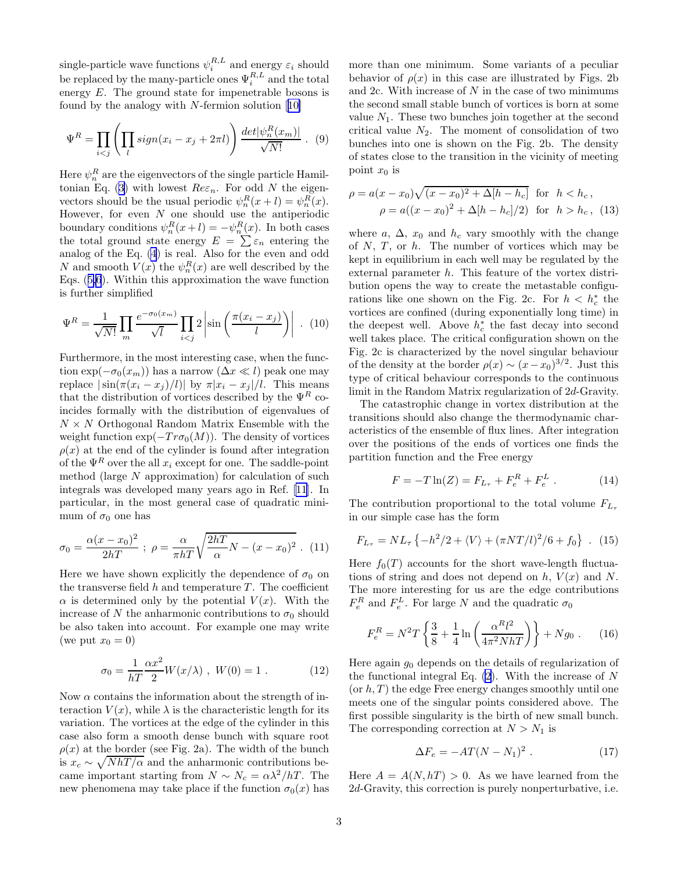single-particle wave functions  $\psi_i^{R,L}$  and energy  $\varepsilon_i$  should be replaced by the many-particle ones  $\Psi_i^{R,L}$  and the total energy E. The ground state for impenetrable bosons is foundby the analogy with  $N$ -fermion solution  $[10]$  $[10]$ 

$$
\Psi^R = \prod_{i < j} \left( \prod_l sign(x_i - x_j + 2\pi l) \right) \frac{\det[\psi_n^R(x_m)]}{\sqrt{N!}} \ . \tag{9}
$$

Here  $\psi_n^R$  are the eigenvectors of the single particle Hamil-tonianEq. ([3\)](#page-0-0) with lowest  $Re \varepsilon_n$ . For odd N the eigenvectors should be the usual periodic  $\psi_n^R(x+l) = \psi_n^R(x)$ . However, for even  $N$  one should use the antiperiodic boundary conditions  $\psi_n^R(x+l) = -\psi_n^R(x)$ . In both cases the total ground state energy  $E = \sum \varepsilon_n$  entering the analog of the Eq. [\(4](#page-0-0)) is real. Also for the even and odd N and smooth  $V(x)$  the  $\psi_n^R(x)$  are well described by the Eqs.([5,6](#page-1-0)). Within this approximation the wave function is further simplified

$$
\Psi^R = \frac{1}{\sqrt{N!}} \prod_m \frac{e^{-\sigma_0(x_m)}}{\sqrt{l}} \prod_{i < j} 2 \left| \sin \left( \frac{\pi (x_i - x_j)}{l} \right) \right| . \tag{10}
$$

Furthermore, in the most interesting case, when the function  $\exp(-\sigma_0(x_m))$  has a narrow  $(\Delta x \ll l)$  peak one may replace  $|\sin(\pi(x_i - x_j)/l)|$  by  $\pi |x_i - x_j|/l$ . This means that the distribution of vortices described by the  $\Psi^R$  coincides formally with the distribution of eigenvalues of  $N \times N$  Orthogonal Random Matrix Ensemble with the weight function  $\exp(-Tr\sigma_0(M))$ . The density of vortices  $\rho(x)$  at the end of the cylinder is found after integration of the  $\Psi^R$  over the all  $x_i$  except for one. The saddle-point method (large N approximation) for calculation of such integrals was developed many years ago in Ref.[[11\]](#page-3-0). In particular, in the most general case of quadratic minimum of  $\sigma_0$  one has

$$
\sigma_0 = \frac{\alpha (x - x_0)^2}{2hT} \; ; \; \rho = \frac{\alpha}{\pi hT} \sqrt{\frac{2hT}{\alpha} N - (x - x_0)^2} \; . \; (11)
$$

Here we have shown explicitly the dependence of  $\sigma_0$  on the transverse field  $h$  and temperature  $T$ . The coefficient  $\alpha$  is determined only by the potential  $V(x)$ . With the increase of N the anharmonic contributions to  $\sigma_0$  should be also taken into account. For example one may write (we put  $x_0 = 0$ )

$$
\sigma_0 = \frac{1}{hT} \frac{\alpha x^2}{2} W(x/\lambda) , W(0) = 1 .
$$
 (12)

Now  $\alpha$  contains the information about the strength of interaction  $V(x)$ , while  $\lambda$  is the characteristic length for its variation. The vortices at the edge of the cylinder in this case also form a smooth dense bunch with square root  $\rho(x)$  at the border (see Fig. 2a). The width of the bunch is  $x_c \sim \sqrt{N h T / \alpha}$  and the anharmonic contributions became important starting from  $N \sim N_c = \alpha \lambda^2 / hT$ . The new phenomena may take place if the function  $\sigma_0(x)$  has

more than one minimum. Some variants of a peculiar behavior of  $\rho(x)$  in this case are illustrated by Figs. 2b and 2c. With increase of  $N$  in the case of two minimums the second small stable bunch of vortices is born at some value  $N_1$ . These two bunches join together at the second critical value  $N_2$ . The moment of consolidation of two bunches into one is shown on the Fig. 2b. The density of states close to the transition in the vicinity of meeting point  $x_0$  is

$$
\rho = a(x - x_0)\sqrt{(x - x_0)^2 + \Delta[h - h_c]}
$$
 for  $h < h_c$ ,  
\n
$$
\rho = a((x - x_0)^2 + \Delta[h - h_c]/2)
$$
 for  $h > h_c$ , (13)

where a,  $\Delta$ ,  $x_0$  and  $h_c$  vary smoothly with the change of  $N$ ,  $T$ , or  $h$ . The number of vortices which may be kept in equilibrium in each well may be regulated by the external parameter h. This feature of the vortex distribution opens the way to create the metastable configurations like one shown on the Fig. 2c. For  $h < h_c^*$  the vortices are confined (during exponentially long time) in the deepest well. Above  $h_c^*$  the fast decay into second well takes place. The critical configuration shown on the Fig. 2c is characterized by the novel singular behaviour of the density at the border  $\rho(x) \sim (x-x_0)^{3/2}$ . Just this type of critical behaviour corresponds to the continuous limit in the Random Matrix regularization of 2d-Gravity.

The catastrophic change in vortex distribution at the transitions should also change the thermodynamic characteristics of the ensemble of flux lines. After integration over the positions of the ends of vortices one finds the partition function and the Free energy

$$
F = -T\ln(Z) = F_{L_{\tau}} + F_e^R + F_e^L. \tag{14}
$$

The contribution proportional to the total volume  $F_{L_{\tau}}$ in our simple case has the form

$$
F_{L_{\tau}} = NL_{\tau} \left\{-h^2/2 + \langle V \rangle + (\pi N T/l)^2/6 + f_0\right\} .
$$
 (15)

Here  $f_0(T)$  accounts for the short wave-length fluctuations of string and does not depend on  $h, V(x)$  and N. The more interesting for us are the edge contributions  $F_e^R$  and  $F_e^L$ . For large N and the quadratic  $\sigma_0$ 

$$
F_e^R = N^2 T \left\{ \frac{3}{8} + \frac{1}{4} \ln \left( \frac{\alpha^R l^2}{4\pi^2 N h T} \right) \right\} + N g_0 \ . \tag{16}
$$

Here again  $g_0$  depends on the details of regularization of the functional integral Eq.  $(2)$ . With the increase of N  $(\text{or } h, T)$  the edge Free energy changes smoothly until one meets one of the singular points considered above. The first possible singularity is the birth of new small bunch. The corresponding correction at  $N > N_1$  is

$$
\Delta F_e = -AT(N - N_1)^2 \ . \tag{17}
$$

Here  $A = A(N, hT) > 0$ . As we have learned from the 2d-Gravity, this correction is purely nonperturbative, i.e.